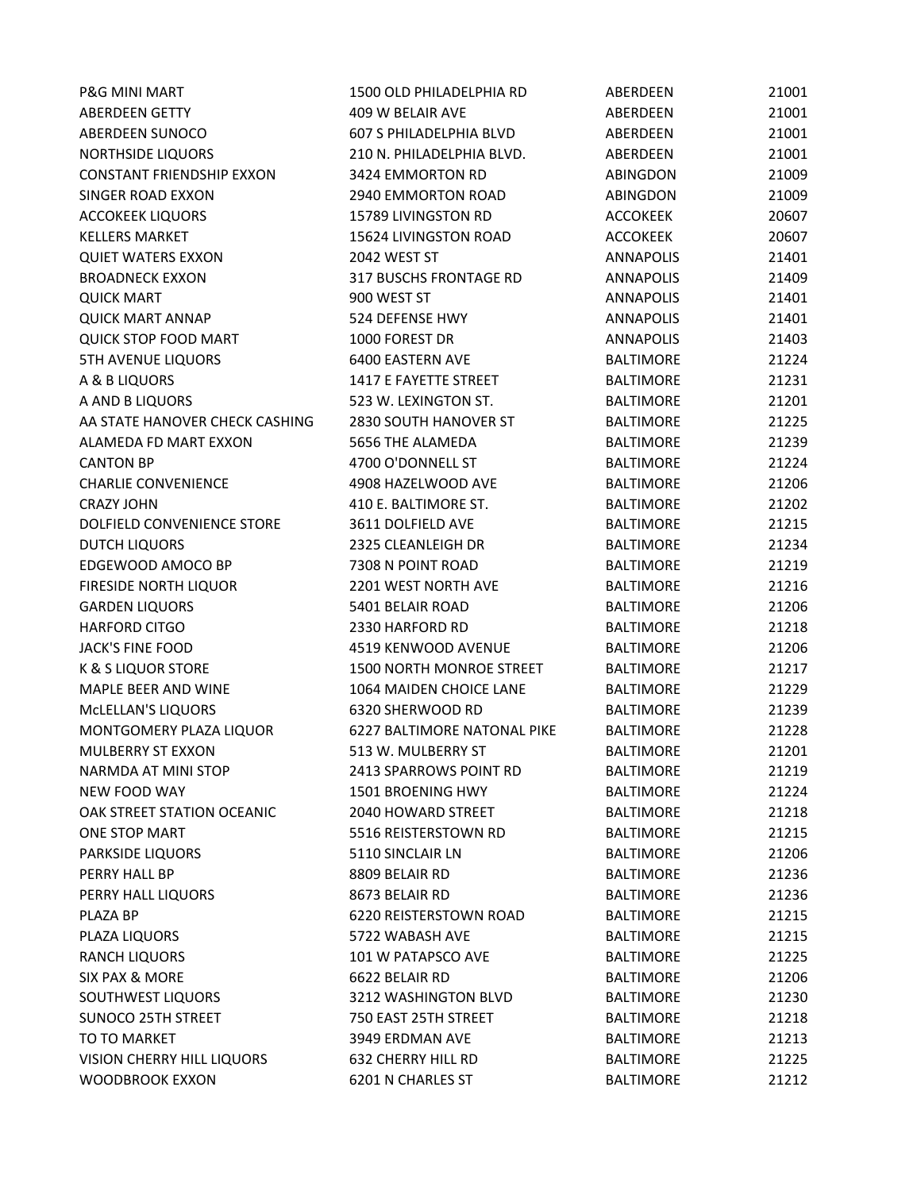| <b>P&amp;G MINI MART</b>         | 1500 OLD PHILADELPHIA RD       | ABERDEEN         | 21001 |
|----------------------------------|--------------------------------|------------------|-------|
| <b>ABERDEEN GETTY</b>            | 409 W BELAIR AVE               | ABERDEEN         | 21001 |
| ABERDEEN SUNOCO                  | <b>607 S PHILADELPHIA BLVD</b> | ABERDEEN         | 21001 |
| NORTHSIDE LIQUORS                | 210 N. PHILADELPHIA BLVD.      | ABERDEEN         | 21001 |
| <b>CONSTANT FRIENDSHIP EXXON</b> | 3424 EMMORTON RD               | <b>ABINGDON</b>  | 21009 |
| SINGER ROAD EXXON                | 2940 EMMORTON ROAD             | <b>ABINGDON</b>  | 21009 |
| <b>ACCOKEEK LIQUORS</b>          | 15789 LIVINGSTON RD            | <b>ACCOKEEK</b>  | 20607 |
| <b>KELLERS MARKET</b>            | 15624 LIVINGSTON ROAD          | <b>ACCOKEEK</b>  | 20607 |
| <b>QUIET WATERS EXXON</b>        | 2042 WEST ST                   | <b>ANNAPOLIS</b> | 21401 |
| <b>BROADNECK EXXON</b>           | 317 BUSCHS FRONTAGE RD         | <b>ANNAPOLIS</b> | 21409 |
| <b>QUICK MART</b>                | 900 WEST ST                    | <b>ANNAPOLIS</b> | 21401 |
| <b>QUICK MART ANNAP</b>          | 524 DEFENSE HWY                | ANNAPOLIS        | 21401 |
| <b>QUICK STOP FOOD MART</b>      | 1000 FOREST DR                 | <b>ANNAPOLIS</b> | 21403 |
| <b>5TH AVENUE LIQUORS</b>        | 6400 EASTERN AVE               | <b>BALTIMORE</b> | 21224 |
| A & B LIQUORS                    | 1417 E FAYETTE STREET          | <b>BALTIMORE</b> | 21231 |
| A AND B LIQUORS                  | 523 W. LEXINGTON ST.           | <b>BALTIMORE</b> | 21201 |
| AA STATE HANOVER CHECK CASHING   | 2830 SOUTH HANOVER ST          | <b>BALTIMORE</b> | 21225 |
| ALAMEDA FD MART EXXON            | 5656 THE ALAMEDA               | <b>BALTIMORE</b> | 21239 |
| <b>CANTON BP</b>                 | 4700 O'DONNELL ST              | <b>BALTIMORE</b> | 21224 |
| <b>CHARLIE CONVENIENCE</b>       | 4908 HAZELWOOD AVE             | <b>BALTIMORE</b> | 21206 |
| <b>CRAZY JOHN</b>                | 410 E. BALTIMORE ST.           | <b>BALTIMORE</b> | 21202 |
| DOLFIELD CONVENIENCE STORE       | 3611 DOLFIELD AVE              | <b>BALTIMORE</b> | 21215 |
| <b>DUTCH LIQUORS</b>             | 2325 CLEANLEIGH DR             | <b>BALTIMORE</b> | 21234 |
| EDGEWOOD AMOCO BP                | 7308 N POINT ROAD              | <b>BALTIMORE</b> | 21219 |
| FIRESIDE NORTH LIQUOR            | 2201 WEST NORTH AVE            | <b>BALTIMORE</b> | 21216 |
| <b>GARDEN LIQUORS</b>            | 5401 BELAIR ROAD               | <b>BALTIMORE</b> | 21206 |
| <b>HARFORD CITGO</b>             | 2330 HARFORD RD                | <b>BALTIMORE</b> | 21218 |
| <b>JACK'S FINE FOOD</b>          | 4519 KENWOOD AVENUE            | <b>BALTIMORE</b> | 21206 |
| <b>K &amp; S LIQUOR STORE</b>    | 1500 NORTH MONROE STREET       | <b>BALTIMORE</b> | 21217 |
| MAPLE BEER AND WINE              | 1064 MAIDEN CHOICE LANE        | <b>BALTIMORE</b> | 21229 |
| MCLELLAN'S LIQUORS               | 6320 SHERWOOD RD               | <b>BALTIMORE</b> | 21239 |
| MONTGOMERY PLAZA LIQUOR          | 6227 BALTIMORE NATONAL PIKE    | <b>BALTIMORE</b> | 21228 |
| <b>MULBERRY ST EXXON</b>         | 513 W. MULBERRY ST             | <b>BALTIMORE</b> | 21201 |
| NARMDA AT MINI STOP              | 2413 SPARROWS POINT RD         | <b>BALTIMORE</b> | 21219 |
| NEW FOOD WAY                     | <b>1501 BROENING HWY</b>       | <b>BALTIMORE</b> | 21224 |
| OAK STREET STATION OCEANIC       | 2040 HOWARD STREET             | <b>BALTIMORE</b> | 21218 |
| ONE STOP MART                    | 5516 REISTERSTOWN RD           | <b>BALTIMORE</b> | 21215 |
| PARKSIDE LIQUORS                 | 5110 SINCLAIR LN               | <b>BALTIMORE</b> | 21206 |
| PERRY HALL BP                    | 8809 BELAIR RD                 | <b>BALTIMORE</b> | 21236 |
| PERRY HALL LIQUORS               | 8673 BELAIR RD                 | <b>BALTIMORE</b> | 21236 |
| PLAZA BP                         | 6220 REISTERSTOWN ROAD         | <b>BALTIMORE</b> | 21215 |
| PLAZA LIQUORS                    | 5722 WABASH AVE                | <b>BALTIMORE</b> | 21215 |
| <b>RANCH LIQUORS</b>             | 101 W PATAPSCO AVE             | <b>BALTIMORE</b> | 21225 |
| <b>SIX PAX &amp; MORE</b>        | 6622 BELAIR RD                 | <b>BALTIMORE</b> | 21206 |
| SOUTHWEST LIQUORS                | 3212 WASHINGTON BLVD           | <b>BALTIMORE</b> | 21230 |
| <b>SUNOCO 25TH STREET</b>        | 750 EAST 25TH STREET           | <b>BALTIMORE</b> | 21218 |
| TO TO MARKET                     | 3949 ERDMAN AVE                | <b>BALTIMORE</b> | 21213 |
| VISION CHERRY HILL LIQUORS       | <b>632 CHERRY HILL RD</b>      | <b>BALTIMORE</b> | 21225 |
| WOODBROOK EXXON                  | 6201 N CHARLES ST              | <b>BALTIMORE</b> | 21212 |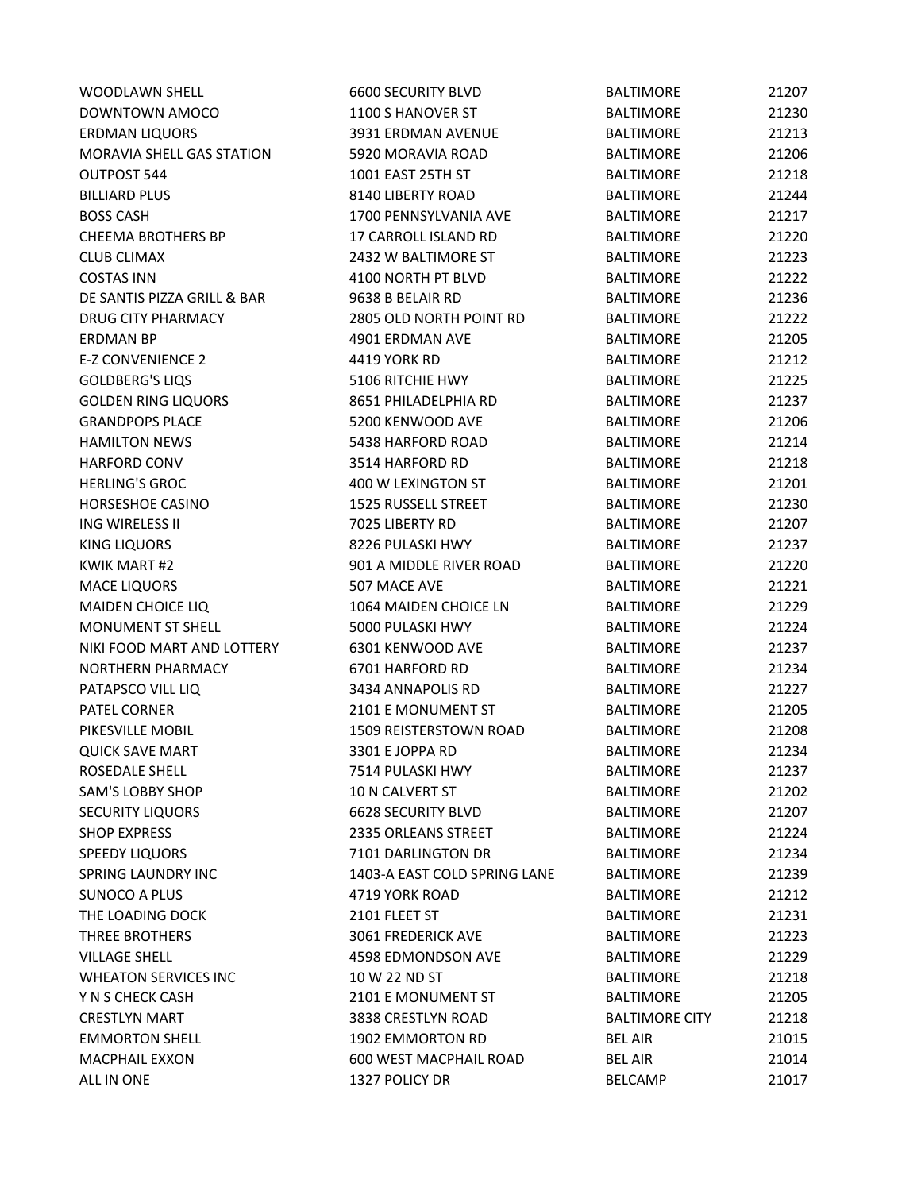| <b>WOODLAWN SHELL</b>       | <b>6600 SECURITY BLVD</b>     | <b>BALTIMORE</b>      | 21207 |
|-----------------------------|-------------------------------|-----------------------|-------|
| DOWNTOWN AMOCO              | 1100 S HANOVER ST             | <b>BALTIMORE</b>      | 21230 |
| <b>ERDMAN LIQUORS</b>       | 3931 ERDMAN AVENUE            | <b>BALTIMORE</b>      | 21213 |
| MORAVIA SHELL GAS STATION   | 5920 MORAVIA ROAD             | <b>BALTIMORE</b>      | 21206 |
| OUTPOST 544                 | 1001 EAST 25TH ST             | <b>BALTIMORE</b>      | 21218 |
| <b>BILLIARD PLUS</b>        | 8140 LIBERTY ROAD             | <b>BALTIMORE</b>      | 21244 |
| <b>BOSS CASH</b>            | 1700 PENNSYLVANIA AVE         | <b>BALTIMORE</b>      | 21217 |
| <b>CHEEMA BROTHERS BP</b>   | 17 CARROLL ISLAND RD          | <b>BALTIMORE</b>      | 21220 |
| <b>CLUB CLIMAX</b>          | 2432 W BALTIMORE ST           | <b>BALTIMORE</b>      | 21223 |
| <b>COSTAS INN</b>           | 4100 NORTH PT BLVD            | <b>BALTIMORE</b>      | 21222 |
| DE SANTIS PIZZA GRILL & BAR | 9638 B BELAIR RD              | <b>BALTIMORE</b>      | 21236 |
| DRUG CITY PHARMACY          | 2805 OLD NORTH POINT RD       | <b>BALTIMORE</b>      | 21222 |
| <b>ERDMAN BP</b>            | 4901 ERDMAN AVE               | <b>BALTIMORE</b>      | 21205 |
| <b>E-Z CONVENIENCE 2</b>    | 4419 YORK RD                  | <b>BALTIMORE</b>      | 21212 |
| <b>GOLDBERG'S LIQS</b>      | 5106 RITCHIE HWY              | <b>BALTIMORE</b>      | 21225 |
| <b>GOLDEN RING LIQUORS</b>  | 8651 PHILADELPHIA RD          | <b>BALTIMORE</b>      | 21237 |
| <b>GRANDPOPS PLACE</b>      | 5200 KENWOOD AVE              | <b>BALTIMORE</b>      | 21206 |
| <b>HAMILTON NEWS</b>        | 5438 HARFORD ROAD             | <b>BALTIMORE</b>      | 21214 |
| <b>HARFORD CONV</b>         | 3514 HARFORD RD               | <b>BALTIMORE</b>      | 21218 |
| <b>HERLING'S GROC</b>       | 400 W LEXINGTON ST            | <b>BALTIMORE</b>      | 21201 |
| HORSESHOE CASINO            | 1525 RUSSELL STREET           | <b>BALTIMORE</b>      | 21230 |
| ING WIRELESS II             | 7025 LIBERTY RD               | <b>BALTIMORE</b>      | 21207 |
| <b>KING LIQUORS</b>         | 8226 PULASKI HWY              | <b>BALTIMORE</b>      | 21237 |
| <b>KWIK MART #2</b>         | 901 A MIDDLE RIVER ROAD       | <b>BALTIMORE</b>      | 21220 |
| <b>MACE LIQUORS</b>         | 507 MACE AVE                  | <b>BALTIMORE</b>      | 21221 |
| MAIDEN CHOICE LIQ           | 1064 MAIDEN CHOICE LN         | <b>BALTIMORE</b>      | 21229 |
| <b>MONUMENT ST SHELL</b>    | 5000 PULASKI HWY              | <b>BALTIMORE</b>      | 21224 |
| NIKI FOOD MART AND LOTTERY  | 6301 KENWOOD AVE              | <b>BALTIMORE</b>      | 21237 |
| NORTHERN PHARMACY           | 6701 HARFORD RD               | <b>BALTIMORE</b>      | 21234 |
| PATAPSCO VILL LIQ           | 3434 ANNAPOLIS RD             | <b>BALTIMORE</b>      | 21227 |
| PATEL CORNER                | 2101 E MONUMENT ST            | <b>BALTIMORE</b>      | 21205 |
| PIKESVILLE MOBIL            | 1509 REISTERSTOWN ROAD        | <b>BALTIMORE</b>      | 21208 |
| <b>QUICK SAVE MART</b>      | 3301 E JOPPA RD               | <b>BALTIMORE</b>      | 21234 |
| ROSEDALE SHELL              | 7514 PULASKI HWY              | <b>BALTIMORE</b>      | 21237 |
| <b>SAM'S LOBBY SHOP</b>     | 10 N CALVERT ST               | <b>BALTIMORE</b>      | 21202 |
| <b>SECURITY LIQUORS</b>     | <b>6628 SECURITY BLVD</b>     | <b>BALTIMORE</b>      | 21207 |
| <b>SHOP EXPRESS</b>         | 2335 ORLEANS STREET           | <b>BALTIMORE</b>      | 21224 |
| <b>SPEEDY LIQUORS</b>       | 7101 DARLINGTON DR            | <b>BALTIMORE</b>      | 21234 |
| <b>SPRING LAUNDRY INC</b>   | 1403-A EAST COLD SPRING LANE  | <b>BALTIMORE</b>      | 21239 |
| <b>SUNOCO A PLUS</b>        | 4719 YORK ROAD                | <b>BALTIMORE</b>      | 21212 |
| THE LOADING DOCK            | 2101 FLEET ST                 | <b>BALTIMORE</b>      | 21231 |
| THREE BROTHERS              | 3061 FREDERICK AVE            | <b>BALTIMORE</b>      | 21223 |
| <b>VILLAGE SHELL</b>        | 4598 EDMONDSON AVE            | <b>BALTIMORE</b>      | 21229 |
| <b>WHEATON SERVICES INC</b> | 10 W 22 ND ST                 | <b>BALTIMORE</b>      | 21218 |
| Y N S CHECK CASH            | 2101 E MONUMENT ST            | <b>BALTIMORE</b>      | 21205 |
| <b>CRESTLYN MART</b>        | 3838 CRESTLYN ROAD            | <b>BALTIMORE CITY</b> | 21218 |
| <b>EMMORTON SHELL</b>       | 1902 EMMORTON RD              | <b>BEL AIR</b>        | 21015 |
| <b>MACPHAIL EXXON</b>       | <b>600 WEST MACPHAIL ROAD</b> | <b>BEL AIR</b>        | 21014 |
| ALL IN ONE                  | 1327 POLICY DR                | <b>BELCAMP</b>        | 21017 |
|                             |                               |                       |       |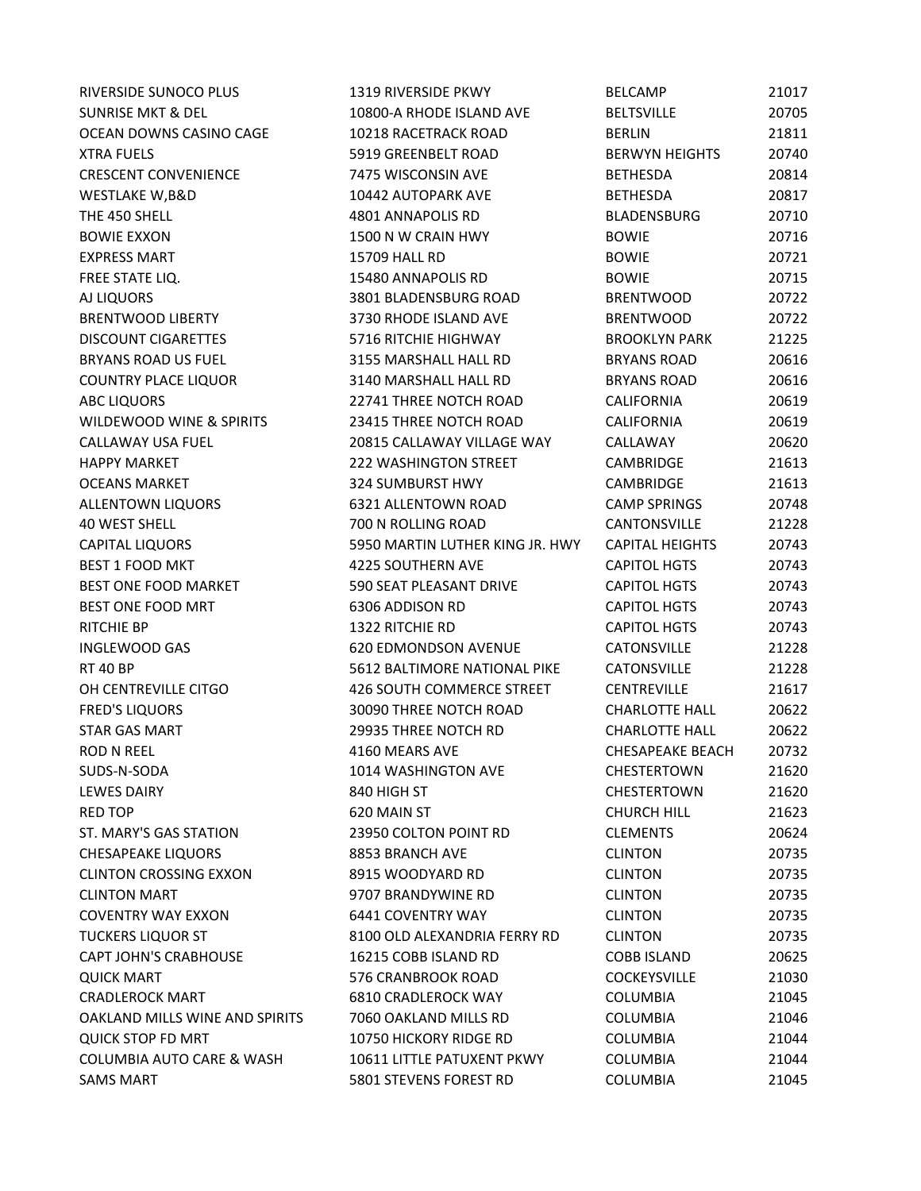SUNRISE MKT & DEL THE 10800-A RHODE ISLAND AVE BELTSVILLE 20705 OCEAN DOWNS CASINO CAGE 
21811

21811 XTRA FUELS 5919 GREENBELT ROAD BERWYN HEIGHTS 20740 CRESCENT CONVENIENCE 7475 WISCONSIN AVE BETHESDA 20814 WESTLAKE W,B&D 10442 AUTOPARK AVE BETHESDA 20817 THE 450 SHELL 4801 ANNAPOLIS RD BLADENSBURG 20710 BOWIE EXXON **1500 N W CRAIN HWY CRAIN HWY** BOWIE 20716 EXPRESS MART 15709 HALL RD BOWIE 20721 FREE STATE LIQ. 15480 ANNAPOLIS RD BOWIE 20715 AJ LIQUORS 3801 BLADENSBURG ROAD BRENTWOOD 20722 BRENTWOOD LIBERTY 3730 RHODE ISLAND AVE BRENTWOOD 20722 DISCOUNT CIGARETTES 5716 RITCHIE HIGHWAY BROOKLYN PARK 21225 BRYANS ROAD US FUEL **8155 MARSHALL HALL RD** BRYANS ROAD 30616 COUNTRY PLACE LIQUOR **3140 MARSHALL HALL RD** BRYANS ROAD 20616 ABC LIQUORS 22741 THREE NOTCH ROAD CALIFORNIA 20619 WILDEWOOD WINE & SPIRITS  $23415$  THREE NOTCH ROAD CALIFORNIA 20619 CALLAWAY USA FUEL 20815 CALLAWAY VILLAGE WAY CALLAWAY 20620 HAPPY MARKET 222 WASHINGTON STREET CAMBRIDGE 21613 OCEANS MARKET 324 SUMBURST HWY CAMBRIDGE 21613 ALLENTOWN LIQUORS 6321 ALLENTOWN ROAD CAMP SPRINGS 20748 40 WEST SHELL 700 N ROLLING ROAD CANTONSVILLE 21228 CAPITAL LIQUORS 5950 MARTIN LUTHER KING JR. HWY CAPITAL HEIGHTS 20743 BEST 1 FOOD MKT 4225 SOUTHERN AVE CAPITOL HGTS 20743 BEST ONE FOOD MARKET **600 SEAT PLEASANT DRIVE CAPITOL HGTS** 20743 BEST ONE FOOD MRT 6306 ADDISON RD CAPITOL HGTS 20743 RITCHIE BP 1322 RITCHIE RD CAPITOL HGTS 20743 INGLEWOOD GAS 620 EDMONDSON AVENUE CATONSVILLE 21228 RT 40 BP 5612 BALTIMORE NATIONAL PIKE CATONSVILLE 21228 OH CENTREVILLE CITGO 426 SOUTH COMMERCE STREET CENTREVILLE 21617 FRED'S LIQUORS 30090 THREE NOTCH ROAD CHARLOTTE HALL 20622 STAR GAS MART 29935 THREE NOTCH RD CHARLOTTE HALL 20622 ROD N REEL 4160 MEARS AVE CHESAPEAKE BEACH 20732 SUDS-N-SODA 1014 WASHINGTON AVE CHESTERTOWN 21620 LEWES DAIRY **EXECUTE:** 840 HIGH ST **CHESTERTOWN** 21620 RED TOP **620 MAIN ST** CHURCH HILL 21623 ST. MARY'S GAS STATION 23950 COLTON POINT RD CLEMENTS 20624 CHESAPEAKE LIQUORS 8853 BRANCH AVE CLINTON 20735 CLINTON CROSSING EXXON 8915 WOODYARD RD CLINTON 20735 CLINTON MART 9707 BRANDYWINE RD CLINTON 20735 COVENTRY WAY EXXON 6441 COVENTRY WAY CLINTON 20735 TUCKERS LIQUOR ST 8100 OLD ALEXANDRIA FERRY RD CLINTON 20735 CAPT JOHN'S CRABHOUSE 16215 COBB ISLAND RD COBB ISLAND 20625 QUICK MART 576 CRANBROOK ROAD COCKEYSVILLE 21030 CRADLEROCK MART 6810 CRADLEROCK WAY COLUMBIA 21045 OAKLAND MILLS WINE AND SPIRITS 7060 OAKLAND MILLS RD COLUMBIA 21046 QUICK STOP FD MRT 10750 HICKORY RIDGE RD COLUMBIA 21044 COLUMBIA AUTO CARE & WASH 10611 LITTLE PATUXENT PKWY COLUMBIA 21044 SAMS MART 5801 STEVENS FOREST RD COLUMBIA 21045

RIVERSIDE SUNOCO PLUS 
and the subset of the state of the state of the state of the state of the state of the state of the state of the state of the state of the state of the state of the state of the state of the state of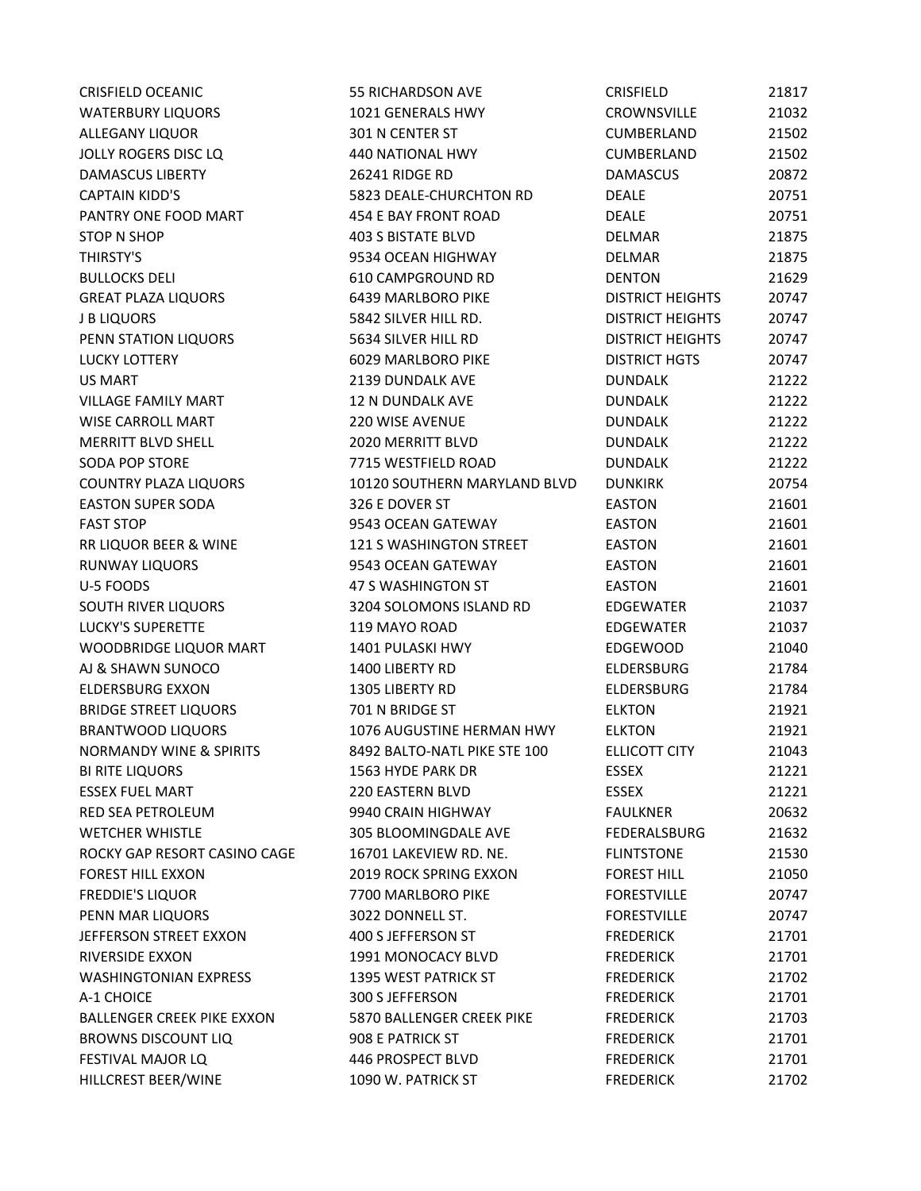| <b>CRISFIELD OCEANIC</b>           | <b>55 RICHARDSON AVE</b>      | <b>CRISFIELD</b>        | 21817 |
|------------------------------------|-------------------------------|-------------------------|-------|
| <b>WATERBURY LIQUORS</b>           | 1021 GENERALS HWY             | CROWNSVILLE             | 21032 |
| ALLEGANY LIQUOR                    | 301 N CENTER ST               | CUMBERLAND              | 21502 |
| <b>JOLLY ROGERS DISC LQ</b>        | 440 NATIONAL HWY              | CUMBERLAND              | 21502 |
| <b>DAMASCUS LIBERTY</b>            | 26241 RIDGE RD                | <b>DAMASCUS</b>         | 20872 |
| <b>CAPTAIN KIDD'S</b>              | 5823 DEALE-CHURCHTON RD       | <b>DEALE</b>            | 20751 |
| PANTRY ONE FOOD MART               | 454 E BAY FRONT ROAD          | <b>DEALE</b>            | 20751 |
| <b>STOP N SHOP</b>                 | <b>403 S BISTATE BLVD</b>     | <b>DELMAR</b>           | 21875 |
| THIRSTY'S                          | 9534 OCEAN HIGHWAY            | <b>DELMAR</b>           | 21875 |
| <b>BULLOCKS DELI</b>               | 610 CAMPGROUND RD             | <b>DENTON</b>           | 21629 |
| <b>GREAT PLAZA LIQUORS</b>         | 6439 MARLBORO PIKE            | <b>DISTRICT HEIGHTS</b> | 20747 |
| <b>J B LIQUORS</b>                 | 5842 SILVER HILL RD.          | <b>DISTRICT HEIGHTS</b> | 20747 |
| PENN STATION LIQUORS               | 5634 SILVER HILL RD           | <b>DISTRICT HEIGHTS</b> | 20747 |
| <b>LUCKY LOTTERY</b>               | 6029 MARLBORO PIKE            | <b>DISTRICT HGTS</b>    | 20747 |
| <b>US MART</b>                     | 2139 DUNDALK AVE              | <b>DUNDALK</b>          | 21222 |
| <b>VILLAGE FAMILY MART</b>         | 12 N DUNDALK AVE              | <b>DUNDALK</b>          | 21222 |
| <b>WISE CARROLL MART</b>           | <b>220 WISE AVENUE</b>        | <b>DUNDALK</b>          | 21222 |
| <b>MERRITT BLVD SHELL</b>          | 2020 MERRITT BLVD             | <b>DUNDALK</b>          | 21222 |
| SODA POP STORE                     | 7715 WESTFIELD ROAD           | <b>DUNDALK</b>          | 21222 |
| <b>COUNTRY PLAZA LIQUORS</b>       | 10120 SOUTHERN MARYLAND BLVD  | <b>DUNKIRK</b>          | 20754 |
| <b>EASTON SUPER SODA</b>           | 326 E DOVER ST                | <b>EASTON</b>           | 21601 |
| <b>FAST STOP</b>                   | 9543 OCEAN GATEWAY            | <b>EASTON</b>           | 21601 |
| RR LIQUOR BEER & WINE              | 121 S WASHINGTON STREET       | <b>EASTON</b>           | 21601 |
| <b>RUNWAY LIQUORS</b>              | 9543 OCEAN GATEWAY            | <b>EASTON</b>           | 21601 |
| U-5 FOODS                          | 47 S WASHINGTON ST            | <b>EASTON</b>           | 21601 |
| SOUTH RIVER LIQUORS                | 3204 SOLOMONS ISLAND RD       | <b>EDGEWATER</b>        | 21037 |
| <b>LUCKY'S SUPERETTE</b>           | 119 MAYO ROAD                 | <b>EDGEWATER</b>        | 21037 |
| WOODBRIDGE LIQUOR MART             | 1401 PULASKI HWY              | <b>EDGEWOOD</b>         | 21040 |
| AJ & SHAWN SUNOCO                  | 1400 LIBERTY RD               | ELDERSBURG              | 21784 |
| <b>ELDERSBURG EXXON</b>            | 1305 LIBERTY RD               | ELDERSBURG              | 21784 |
| <b>BRIDGE STREET LIQUORS</b>       | 701 N BRIDGE ST               | <b>ELKTON</b>           | 21921 |
| <b>BRANTWOOD LIQUORS</b>           | 1076 AUGUSTINE HERMAN HWY     | <b>ELKTON</b>           | 21921 |
| <b>NORMANDY WINE &amp; SPIRITS</b> | 8492 BALTO-NATL PIKE STE 100  | <b>ELLICOTT CITY</b>    | 21043 |
| <b>BI RITE LIQUORS</b>             | 1563 HYDE PARK DR             | <b>ESSEX</b>            | 21221 |
| <b>ESSEX FUEL MART</b>             | 220 EASTERN BLVD              | <b>ESSEX</b>            | 21221 |
| <b>RED SEA PETROLEUM</b>           | 9940 CRAIN HIGHWAY            | <b>FAULKNER</b>         | 20632 |
| <b>WETCHER WHISTLE</b>             | 305 BLOOMINGDALE AVE          | FEDERALSBURG            | 21632 |
| ROCKY GAP RESORT CASINO CAGE       | 16701 LAKEVIEW RD. NE.        | <b>FLINTSTONE</b>       | 21530 |
| <b>FOREST HILL EXXON</b>           | <b>2019 ROCK SPRING EXXON</b> | <b>FOREST HILL</b>      | 21050 |
| <b>FREDDIE'S LIQUOR</b>            | 7700 MARLBORO PIKE            | <b>FORESTVILLE</b>      | 20747 |
| PENN MAR LIQUORS                   | 3022 DONNELL ST.              | <b>FORESTVILLE</b>      | 20747 |
| JEFFERSON STREET EXXON             | 400 S JEFFERSON ST            | <b>FREDERICK</b>        | 21701 |
| RIVERSIDE EXXON                    | 1991 MONOCACY BLVD            | <b>FREDERICK</b>        | 21701 |
| <b>WASHINGTONIAN EXPRESS</b>       | 1395 WEST PATRICK ST          | <b>FREDERICK</b>        | 21702 |
| A-1 CHOICE                         | 300 S JEFFERSON               | <b>FREDERICK</b>        | 21701 |
| <b>BALLENGER CREEK PIKE EXXON</b>  | 5870 BALLENGER CREEK PIKE     | <b>FREDERICK</b>        | 21703 |
| <b>BROWNS DISCOUNT LIQ</b>         | 908 E PATRICK ST              | <b>FREDERICK</b>        | 21701 |
| FESTIVAL MAJOR LQ                  | 446 PROSPECT BLVD             | <b>FREDERICK</b>        | 21701 |
| HILLCREST BEER/WINE                | 1090 W. PATRICK ST            | <b>FREDERICK</b>        | 21702 |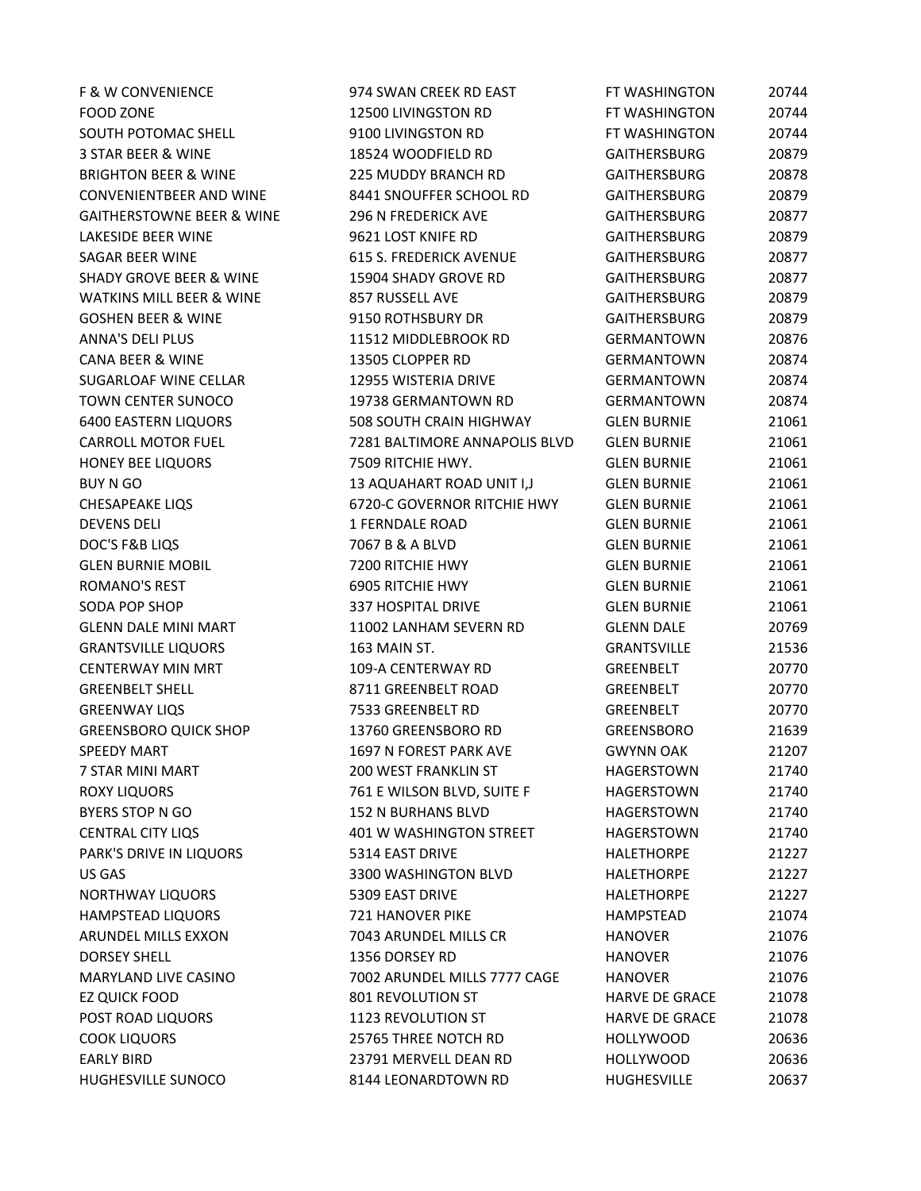FOOD ZONE 12500 LIVINGSTON RD FT WASHINGTON 20744 SOUTH POTOMAC SHELL 9100 LIVINGSTON RD FT WASHINGTON 20744 3 STAR BEER & WINE 18524 WOODFIELD RD GAITHERSBURG 20879 BRIGHTON BEER & WINE 225 MUDDY BRANCH RD GAITHERSBURG 20878 CONVENIENTBEER AND WINE 8441 SNOUFFER SCHOOL RD GAITHERSBURG 20879 GAITHERSTOWNE BEER & WINE 296 N FREDERICK AVE FOR THERSBURG 20877 LAKESIDE BEER WINE 9621 LOST KNIFE RD GAITHERSBURG 20879 SAGAR BEER WINE **615 S. FREDERICK AVENUE** GAITHERSBURG 20877 SHADY GROVE BEER & WINE 15904 SHADY GROVE RD GAITHERSBURG 20877 WATKINS MILL BEER & WINE 857 RUSSELL AVE FOR AN ANDREW GAITHERSBURG AND 20879 GOSHEN BEER & WINE 9150 ROTHSBURY DR GAITHERSBURG 20879 ANNA'S DELI PLUS 11512 MIDDLEBROOK RD GERMANTOWN 20876 CANA BEER & WINE 13505 CLOPPER RD GERMANTOWN 20874 SUGARLOAF WINE CELLAR 12955 WISTERIA DRIVE GERMANTOWN 20874 TOWN CENTER SUNOCO 19738 GERMANTOWN RD GERMANTOWN 20874 6400 EASTERN LIQUORS 508 SOUTH CRAIN HIGHWAY GLEN BURNIE 21061 CARROLL MOTOR FUEL 7281 BALTIMORE ANNAPOLIS BLVD GLEN BURNIE 21061 HONEY BEE LIQUORS **7509 RITCHIE HWY.** GLEN BURNIE 21061 BUY N GO 13 AQUAHART ROAD UNIT I,J GLEN BURNIE 21061 CHESAPEAKE LIQS 6720-C GOVERNOR RITCHIE HWY GLEN BURNIE 21061 DEVENS DELI 1 FERNDALE ROAD GLEN BURNIE 21061 DOC'S F&B LIQS 7067 B & A BLVD GLEN BURNIE 21061 GLEN BURNIE MOBIL 7200 RITCHIE HWY GLEN BURNIE 21061 ROMANO'S REST 6905 RITCHIE HWY GLEN BURNIE 21061 SODA POP SHOP 337 HOSPITAL DRIVE GLEN BURNIE 21061 GLENN DALE MINI MART 11002 LANHAM SEVERN RD GLENN DALE 20769 GRANTSVILLE LIQUORS 163 MAIN ST. GRANTSVILLE 21536 CENTERWAY MIN MRT 109-A CENTERWAY RD GREENBELT 20770 GREENBELT SHELL 8711 GREENBELT ROAD GREENBELT 20770 GREENWAY LIQS 7533 GREENBELT RD GREENBELT 20770 GREENSBORO QUICK SHOP 13760 GREENSBORO RD GREENSBORO 21639 SPEEDY MART 1697 N FOREST PARK AVE GWYNN OAK 21207 7 STAR MINI MART 200 WEST FRANKLIN ST HAGERSTOWN 21740 ROXY LIQUORS 761 E WILSON BLVD, SUITE F HAGERSTOWN 21740 BYERS STOP N GO **152 N BURHANS BLVD** HAGERSTOWN 21740 CENTRAL CITY LIQS 401 W WASHINGTON STREET HAGERSTOWN 21740 PARK'S DRIVE IN LIQUORS 6314 EAST DRIVE FOR THE HALETHORPE 631227 US GAS 3300 WASHINGTON BLVD HALETHORPE 21227 NORTHWAY LIQUORS 5309 EAST DRIVE HALETHORPE 21227 HAMPSTEAD LIQUORS 721 HANOVER PIKE HAMPSTEAD 21074 ARUNDEL MILLS EXXON 7043 ARUNDEL MILLS CR HANOVER 21076 DORSEY SHELL 1356 DORSEY RD HANOVER 21076 MARYLAND LIVE CASINO 7002 ARUNDEL MILLS 7777 CAGE HANOVER 21076 EZ QUICK FOOD 801 REVOLUTION ST HARVE DE GRACE 21078 POST ROAD LIQUORS **1123 REVOLUTION ST HARVE DE GRACE** 21078 COOK LIQUORS 25765 THREE NOTCH RD HOLLYWOOD 20636 EARLY BIRD 23791 MERVELL DEAN RD HOLLYWOOD 20636 HUGHESVILLE SUNOCO 8144 LEONARDTOWN RD HUGHESVILLE 20637

F & W CONVENIENCE **FRIELL SEE ASSESSED AT A STATE SEEK RD EAST** FT WASHINGTON 20744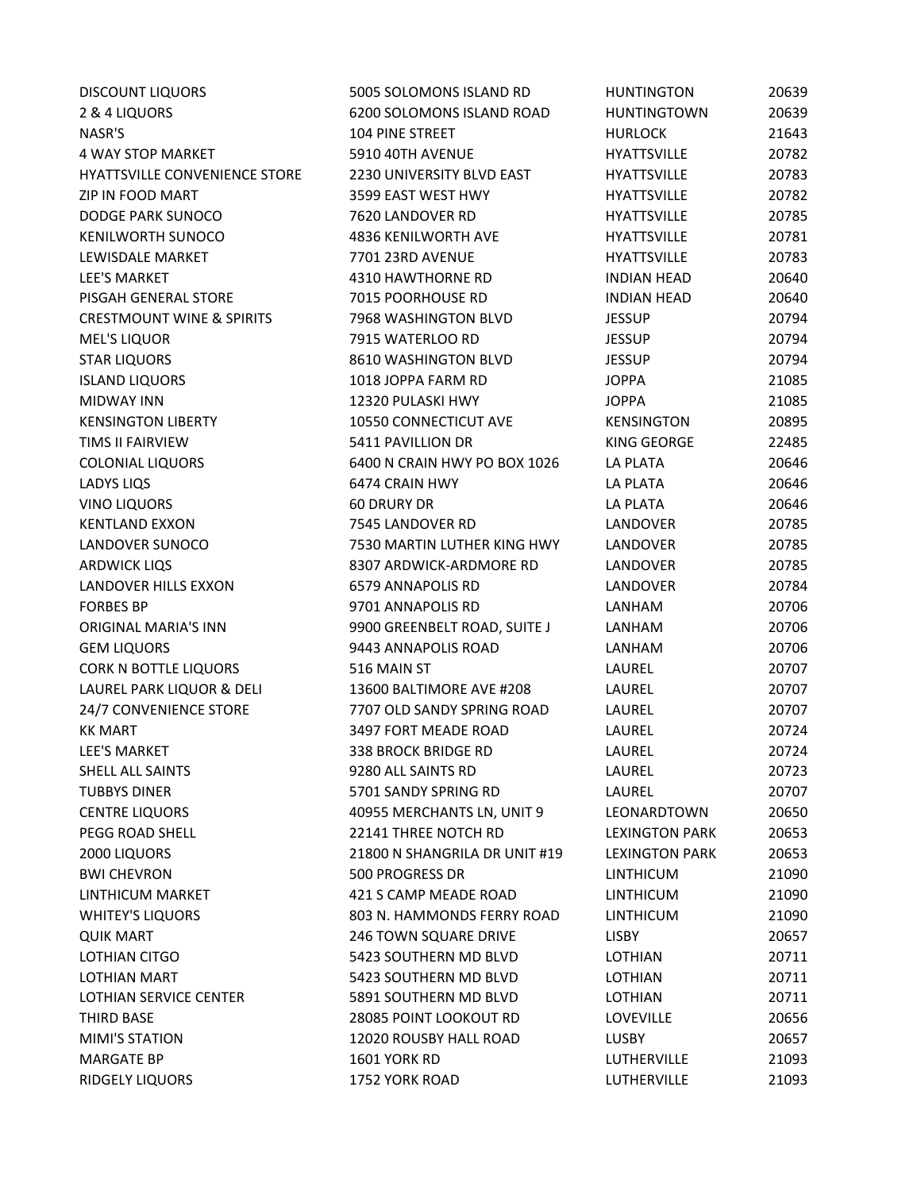| <b>DISCOUNT LIQUORS</b>              | 5005 SOLOMONS ISLAND RD       | <b>HUNTINGTON</b>     | 20639 |
|--------------------------------------|-------------------------------|-----------------------|-------|
| 2 & 4 LIQUORS                        | 6200 SOLOMONS ISLAND ROAD     | <b>HUNTINGTOWN</b>    | 20639 |
| NASR'S                               | <b>104 PINE STREET</b>        | <b>HURLOCK</b>        | 21643 |
| 4 WAY STOP MARKET                    | 5910 40TH AVENUE              | <b>HYATTSVILLE</b>    | 20782 |
| <b>HYATTSVILLE CONVENIENCE STORE</b> | 2230 UNIVERSITY BLVD EAST     | <b>HYATTSVILLE</b>    | 20783 |
| ZIP IN FOOD MART                     | 3599 EAST WEST HWY            | <b>HYATTSVILLE</b>    | 20782 |
| DODGE PARK SUNOCO                    | 7620 LANDOVER RD              | <b>HYATTSVILLE</b>    | 20785 |
| <b>KENILWORTH SUNOCO</b>             | 4836 KENILWORTH AVE           | <b>HYATTSVILLE</b>    | 20781 |
| LEWISDALE MARKET                     | 7701 23RD AVENUE              | <b>HYATTSVILLE</b>    | 20783 |
| <b>LEE'S MARKET</b>                  | 4310 HAWTHORNE RD             | <b>INDIAN HEAD</b>    | 20640 |
| PISGAH GENERAL STORE                 | 7015 POORHOUSE RD             | <b>INDIAN HEAD</b>    | 20640 |
| <b>CRESTMOUNT WINE &amp; SPIRITS</b> | 7968 WASHINGTON BLVD          | <b>JESSUP</b>         | 20794 |
| <b>MEL'S LIQUOR</b>                  | 7915 WATERLOO RD              | <b>JESSUP</b>         | 20794 |
| <b>STAR LIQUORS</b>                  | 8610 WASHINGTON BLVD          | <b>JESSUP</b>         | 20794 |
| <b>ISLAND LIQUORS</b>                | 1018 JOPPA FARM RD            | <b>JOPPA</b>          | 21085 |
| <b>MIDWAY INN</b>                    | 12320 PULASKI HWY             | <b>JOPPA</b>          | 21085 |
| <b>KENSINGTON LIBERTY</b>            | 10550 CONNECTICUT AVE         | <b>KENSINGTON</b>     | 20895 |
| <b>TIMS II FAIRVIEW</b>              | 5411 PAVILLION DR             | KING GEORGE           | 22485 |
| <b>COLONIAL LIQUORS</b>              | 6400 N CRAIN HWY PO BOX 1026  | <b>LA PLATA</b>       | 20646 |
| <b>LADYS LIQS</b>                    | 6474 CRAIN HWY                | <b>LA PLATA</b>       | 20646 |
| <b>VINO LIQUORS</b>                  | <b>60 DRURY DR</b>            | LA PLATA              | 20646 |
| <b>KENTLAND EXXON</b>                | 7545 LANDOVER RD              | LANDOVER              | 20785 |
| LANDOVER SUNOCO                      | 7530 MARTIN LUTHER KING HWY   | LANDOVER              | 20785 |
| <b>ARDWICK LIQS</b>                  | 8307 ARDWICK-ARDMORE RD       | LANDOVER              | 20785 |
| LANDOVER HILLS EXXON                 | 6579 ANNAPOLIS RD             | LANDOVER              | 20784 |
| <b>FORBES BP</b>                     | 9701 ANNAPOLIS RD             | LANHAM                | 20706 |
| <b>ORIGINAL MARIA'S INN</b>          | 9900 GREENBELT ROAD, SUITE J  | LANHAM                | 20706 |
| <b>GEM LIQUORS</b>                   | 9443 ANNAPOLIS ROAD           | LANHAM                | 20706 |
| CORK N BOTTLE LIQUORS                | 516 MAIN ST                   | LAUREL                | 20707 |
| LAUREL PARK LIQUOR & DELI            | 13600 BALTIMORE AVE #208      | LAUREL                | 20707 |
| 24/7 CONVENIENCE STORE               | 7707 OLD SANDY SPRING ROAD    | LAUREL                | 20707 |
| <b>KK MART</b>                       | 3497 FORT MEADE ROAD          | LAUREL                | 20724 |
| <b>LEE'S MARKET</b>                  | 338 BROCK BRIDGE RD           | LAUREL                | 20724 |
| SHELL ALL SAINTS                     | 9280 ALL SAINTS RD            | LAUREL                | 20723 |
| <b>TUBBYS DINER</b>                  | 5701 SANDY SPRING RD          | LAUREL                | 20707 |
| <b>CENTRE LIQUORS</b>                | 40955 MERCHANTS LN, UNIT 9    | LEONARDTOWN           | 20650 |
| PEGG ROAD SHELL                      | 22141 THREE NOTCH RD          | <b>LEXINGTON PARK</b> | 20653 |
| 2000 LIQUORS                         | 21800 N SHANGRILA DR UNIT #19 | <b>LEXINGTON PARK</b> | 20653 |
| <b>BWI CHEVRON</b>                   | 500 PROGRESS DR               | <b>LINTHICUM</b>      | 21090 |
| LINTHICUM MARKET                     | 421 S CAMP MEADE ROAD         | <b>LINTHICUM</b>      | 21090 |
| <b>WHITEY'S LIQUORS</b>              | 803 N. HAMMONDS FERRY ROAD    | <b>LINTHICUM</b>      | 21090 |
| <b>QUIK MART</b>                     | <b>246 TOWN SQUARE DRIVE</b>  | LISBY                 | 20657 |
| LOTHIAN CITGO                        | 5423 SOUTHERN MD BLVD         | <b>LOTHIAN</b>        | 20711 |
| LOTHIAN MART                         | 5423 SOUTHERN MD BLVD         | <b>LOTHIAN</b>        | 20711 |
| LOTHIAN SERVICE CENTER               | 5891 SOUTHERN MD BLVD         | LOTHIAN               | 20711 |
| THIRD BASE                           | 28085 POINT LOOKOUT RD        | <b>LOVEVILLE</b>      | 20656 |
| <b>MIMI'S STATION</b>                | 12020 ROUSBY HALL ROAD        | LUSBY                 | 20657 |
| <b>MARGATE BP</b>                    | <b>1601 YORK RD</b>           | LUTHERVILLE           | 21093 |
| RIDGELY LIQUORS                      | 1752 YORK ROAD                | LUTHERVILLE           | 21093 |
|                                      |                               |                       |       |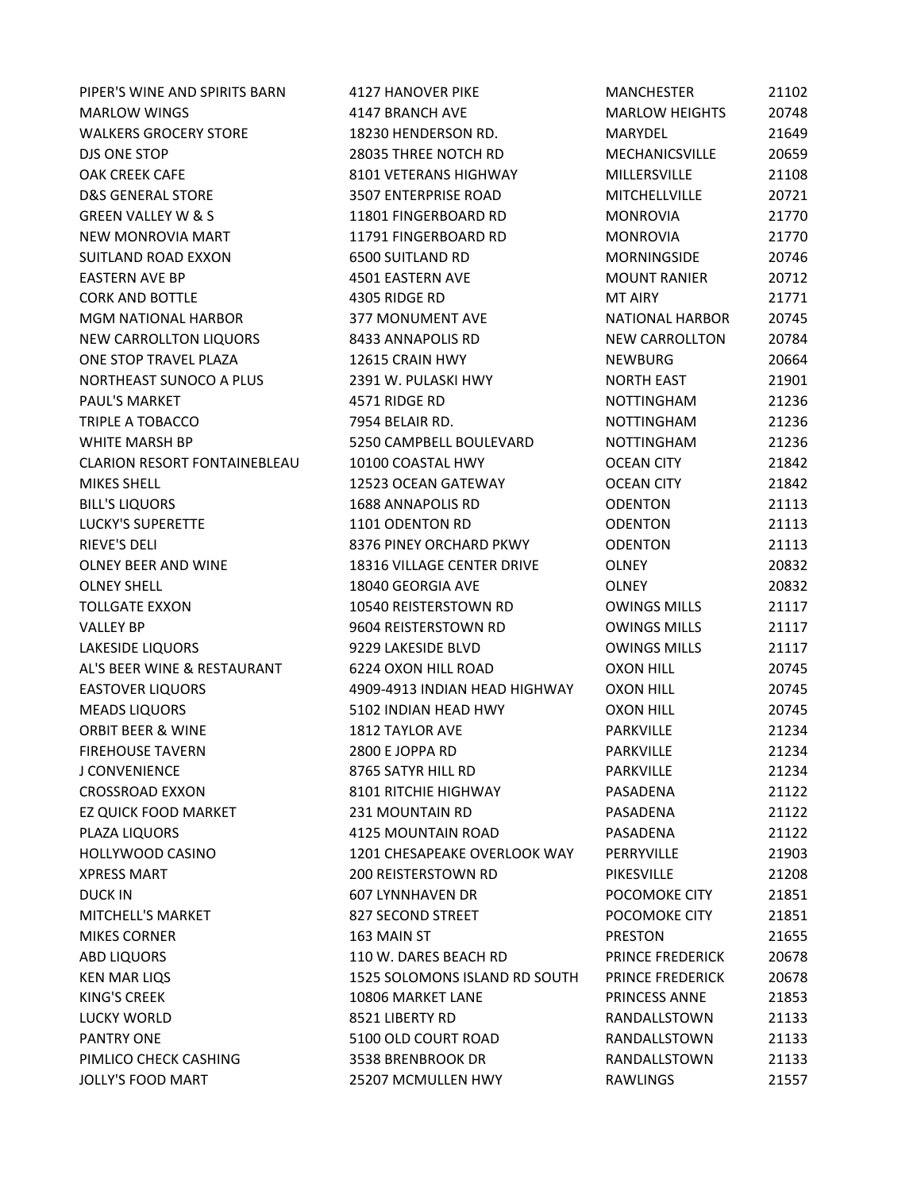MARLOW WINGS 4147 BRANCH AVE MARLOW HEIGHTS 20748 WALKERS GROCERY STORE 18230 HENDERSON RD. MARYDEL 21649 DJS ONE STOP 28035 THREE NOTCH RD MECHANICSVILLE 20659 OAK CREEK CAFE 8101 VETERANS HIGHWAY MILLERSVILLE 21108 D&S GENERAL STORE 3507 ENTERPRISE ROAD MITCHELLVILLE 20721 GREEN VALLEY W & S 11801 FINGERBOARD RD MONROVIA 21770 NEW MONROVIA MART 11791 FINGERBOARD RD MONROVIA 21770 SUITLAND ROAD EXXON 6500 SUITLAND RD MORNINGSIDE 20746 EASTERN AVE BP 4501 EASTERN AVE MOUNT RANIER 20712 CORK AND BOTTLE **ANDISCOPE ASSAULT A SERVICE RD MT AIRY** 21771 MGM NATIONAL HARBOR 377 MONUMENT AVE NATIONAL HARBOR 20745 NEW CARROLLTON LIQUORS 8433 ANNAPOLIS RD NEW CARROLLTON 20784 ONE STOP TRAVEL PLAZA 
20664

20664

20664

20664

20664

20664

20664

20664

20664

20664

20664

20664

20664

20664

20664

20664

20664

20664

20664

2066 NORTHEAST SUNOCO A PLUS 2391 W. PULASKI HWY NORTH EAST 21901 PAUL'S MARKET 4571 RIDGE RD NOTTINGHAM 21236 TRIPLE A TOBACCO **12.236** 7954 BELAIR RD. NOTTINGHAM 21236 WHITE MARSH BP **5250 CAMPBELL BOULEVARD** MOTTINGHAM 31236 CLARION RESORT FONTAINEBLEAU 10100 COASTAL HWY OCEAN CITY 21842 MIKES SHELL 12523 OCEAN GATEWAY OCEAN CITY 21842 BILL'S LIQUORS 1688 ANNAPOLIS RD ODENTON 21113 LUCKY'S SUPERETTE 1101 ODENTON RD ODENTON 21113 RIEVE'S DELI 8376 PINEY ORCHARD PKWY ODENTON 21113 OLNEY BEER AND WINE 18316 VILLAGE CENTER DRIVE OLNEY 20832 OLNEY SHELL 18040 GEORGIA AVE OLNEY 20832 TOLLGATE EXXON TO THE 21117 TOLLGATE EXXON TO THE 21117 VALLEY BP 9604 REISTERSTOWN RD OWINGS MILLS 21117 LAKESIDE LIQUORS 9229 LAKESIDE BLVD OWINGS MILLS 21117 AL'S BEER WINE & RESTAURANT 6224 OXON HILL ROAD OXON HILL 20745 EASTOVER LIQUORS 4909-4913 INDIAN HEAD HIGHWAY OXON HILL 20745 MEADS LIQUORS 5102 INDIAN HEAD HWY OXON HILL 20745 ORBIT BEER & WINE 1812 TAYLOR AVE PARKVILLE 21234 FIREHOUSE TAVERN 2800 E JOPPA RD PARKVILLE 21234 J CONVENIENCE 8765 SATYR HILL RD PARKVILLE 21234 CROSSROAD EXXON 8101 RITCHIE HIGHWAY PASADENA 21122 EZ QUICK FOOD MARKET 231 MOUNTAIN RD PASADENA 21122 PLAZA LIQUORS 4125 MOUNTAIN ROAD PASADENA 21122 HOLLYWOOD CASINO 1201 CHESAPEAKE OVERLOOK WAY PERRYVILLE 21903 XPRESS MART 200 REISTERSTOWN RD PIKESVILLE 21208 DUCK IN 607 LYNNHAVEN DR POCOMOKE CITY 21851 MITCHELL'S MARKET 
and the same statement of the same structure of the statement of the statement of the statement of the statement of the statement of the statement of the statement of the statement of the statement of th MIKES CORNER **163 MAIN ST** PRESTON 21655 ABD LIQUORS 110 W. DARES BEACH RD PRINCE FREDERICK 20678 KEN MAR LIQS 1525 SOLOMONS ISLAND RD SOUTH PRINCE FREDERICK 20678 KING'S CREEK 10806 MARKET LANE PRINCESS ANNE 21853 LUCKY WORLD 8521 LIBERTY RD RANDALLSTOWN 21133 PANTRY ONE 5100 OLD COURT ROAD RANDALLSTOWN 21133 PIMLICO CHECK CASHING **3538 BRENBROOK DR** RANDALLSTOWN 21133 JOLLY'S FOOD MART 25207 MCMULLEN HWY RAWLINGS 21557

PIPER'S WINE AND SPIRITS BARN 4127 HANOVER PIKE MANCHESTER 21102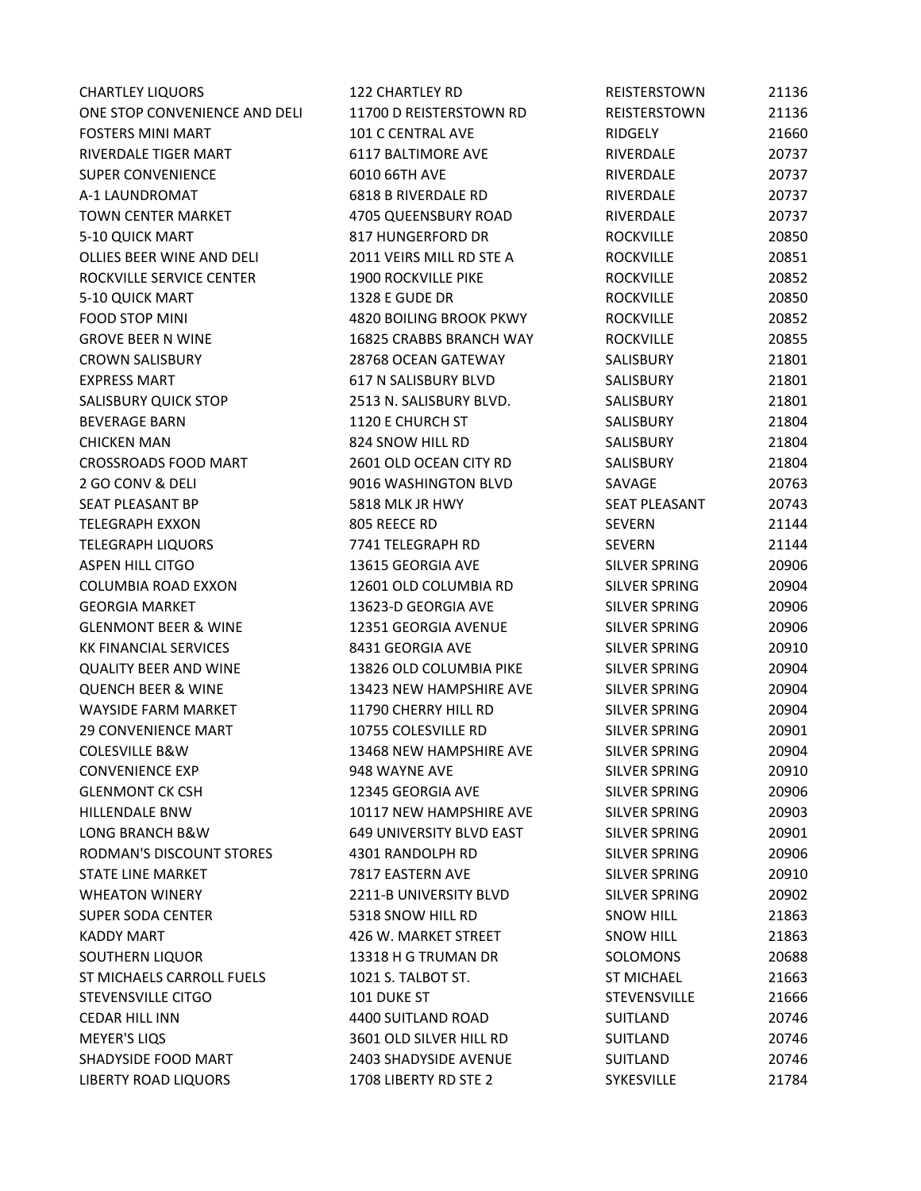| <b>CHARTLEY LIQUORS</b>         | 122 CHARTLEY RD            | REISTERSTOWN         | 21136 |
|---------------------------------|----------------------------|----------------------|-------|
| ONE STOP CONVENIENCE AND DELI   | 11700 D REISTERSTOWN RD    | REISTERSTOWN         | 21136 |
| <b>FOSTERS MINI MART</b>        | 101 C CENTRAL AVE          | RIDGELY              | 21660 |
| RIVERDALE TIGER MART            | 6117 BALTIMORE AVE         | RIVERDALE            | 20737 |
| <b>SUPER CONVENIENCE</b>        | 6010 66TH AVE              | RIVERDALE            | 20737 |
| A-1 LAUNDROMAT                  | 6818 B RIVERDALE RD        | RIVERDALE            | 20737 |
| <b>TOWN CENTER MARKET</b>       | 4705 QUEENSBURY ROAD       | RIVERDALE            | 20737 |
| 5-10 QUICK MART                 | 817 HUNGERFORD DR          | <b>ROCKVILLE</b>     | 20850 |
| OLLIES BEER WINE AND DELI       | 2011 VEIRS MILL RD STE A   | <b>ROCKVILLE</b>     | 20851 |
| ROCKVILLE SERVICE CENTER        | <b>1900 ROCKVILLE PIKE</b> | <b>ROCKVILLE</b>     | 20852 |
| 5-10 QUICK MART                 | 1328 E GUDE DR             | <b>ROCKVILLE</b>     | 20850 |
| FOOD STOP MINI                  | 4820 BOILING BROOK PKWY    | <b>ROCKVILLE</b>     | 20852 |
| <b>GROVE BEER N WINE</b>        | 16825 CRABBS BRANCH WAY    | <b>ROCKVILLE</b>     | 20855 |
| <b>CROWN SALISBURY</b>          | 28768 OCEAN GATEWAY        | SALISBURY            | 21801 |
| <b>EXPRESS MART</b>             | 617 N SALISBURY BLVD       | SALISBURY            | 21801 |
| SALISBURY QUICK STOP            | 2513 N. SALISBURY BLVD.    | SALISBURY            | 21801 |
| <b>BEVERAGE BARN</b>            | 1120 E CHURCH ST           | SALISBURY            | 21804 |
| <b>CHICKEN MAN</b>              | 824 SNOW HILL RD           | SALISBURY            | 21804 |
| <b>CROSSROADS FOOD MART</b>     | 2601 OLD OCEAN CITY RD     | SALISBURY            | 21804 |
| 2 GO CONV & DELI                | 9016 WASHINGTON BLVD       | SAVAGE               | 20763 |
| SEAT PLEASANT BP                | 5818 MLK JR HWY            | <b>SEAT PLEASANT</b> | 20743 |
| <b>TELEGRAPH EXXON</b>          | 805 REECE RD               | <b>SEVERN</b>        | 21144 |
| <b>TELEGRAPH LIQUORS</b>        | 7741 TELEGRAPH RD          | <b>SEVERN</b>        | 21144 |
| <b>ASPEN HILL CITGO</b>         | 13615 GEORGIA AVE          | SILVER SPRING        | 20906 |
| <b>COLUMBIA ROAD EXXON</b>      | 12601 OLD COLUMBIA RD      | SILVER SPRING        | 20904 |
| <b>GEORGIA MARKET</b>           | 13623-D GEORGIA AVE        | SILVER SPRING        | 20906 |
| <b>GLENMONT BEER &amp; WINE</b> | 12351 GEORGIA AVENUE       | SILVER SPRING        | 20906 |
| <b>KK FINANCIAL SERVICES</b>    | 8431 GEORGIA AVE           | SILVER SPRING        | 20910 |
| <b>QUALITY BEER AND WINE</b>    | 13826 OLD COLUMBIA PIKE    | SILVER SPRING        | 20904 |
| <b>QUENCH BEER &amp; WINE</b>   | 13423 NEW HAMPSHIRE AVE    | SILVER SPRING        | 20904 |
| <b>WAYSIDE FARM MARKET</b>      | 11790 CHERRY HILL RD       | SILVER SPRING        | 20904 |
| <b>29 CONVENIENCE MART</b>      | 10755 COLESVILLE RD        | SILVER SPRING        | 20901 |
| <b>COLESVILLE B&amp;W</b>       | 13468 NEW HAMPSHIRE AVE    | SILVER SPRING        | 20904 |
| <b>CONVENIENCE EXP</b>          | 948 WAYNE AVE              | SILVER SPRING        | 20910 |
| <b>GLENMONT CK CSH</b>          | 12345 GEORGIA AVE          | SILVER SPRING        | 20906 |
| <b>HILLENDALE BNW</b>           | 10117 NEW HAMPSHIRE AVE    | SILVER SPRING        | 20903 |
| LONG BRANCH B&W                 | 649 UNIVERSITY BLVD EAST   | SILVER SPRING        | 20901 |
| RODMAN'S DISCOUNT STORES        | 4301 RANDOLPH RD           | SILVER SPRING        | 20906 |
| STATE LINE MARKET               | 7817 EASTERN AVE           | SILVER SPRING        | 20910 |
| <b>WHEATON WINERY</b>           | 2211-B UNIVERSITY BLVD     | SILVER SPRING        | 20902 |
| <b>SUPER SODA CENTER</b>        | 5318 SNOW HILL RD          | <b>SNOW HILL</b>     | 21863 |
| <b>KADDY MART</b>               | 426 W. MARKET STREET       | <b>SNOW HILL</b>     | 21863 |
| SOUTHERN LIQUOR                 | 13318 H G TRUMAN DR        | SOLOMONS             | 20688 |
| ST MICHAELS CARROLL FUELS       | 1021 S. TALBOT ST.         | <b>ST MICHAEL</b>    | 21663 |
| STEVENSVILLE CITGO              | 101 DUKE ST                | STEVENSVILLE         | 21666 |
| <b>CEDAR HILL INN</b>           | 4400 SUITLAND ROAD         | SUITLAND             | 20746 |
| <b>MEYER'S LIQS</b>             | 3601 OLD SILVER HILL RD    | SUITLAND             | 20746 |
| SHADYSIDE FOOD MART             | 2403 SHADYSIDE AVENUE      | SUITLAND             | 20746 |
| LIBERTY ROAD LIQUORS            | 1708 LIBERTY RD STE 2      | SYKESVILLE           | 21784 |
|                                 |                            |                      |       |